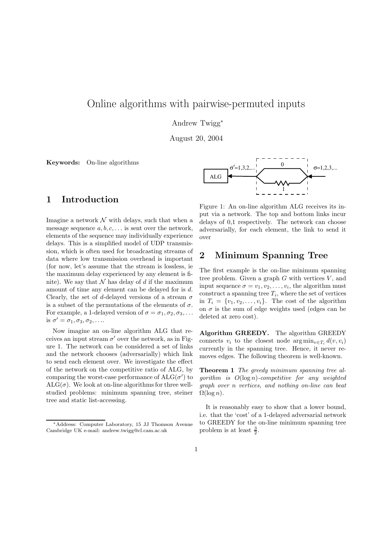# Online algorithms with pairwise-permuted inputs

Andrew Twigg<sup>∗</sup>

August 20, 2004

Keywords: On-line algorithms



### 1 Introduction

Imagine a network  $\mathcal N$  with delays, such that when a message sequence  $a, b, c, \ldots$  is sent over the network, elements of the sequence may individually experience delays. This is a simplified model of UDP transmission, which is often used for broadcasting streams of data where low transmission overhead is important (for now, let's assume that the stream is lossless, ie the maximum delay experienced by any element is finite). We say that  $\mathcal N$  has delay of d if the maximum amount of time any element can be delayed for is d. Clearly, the set of d-delayed versions of a stream  $\sigma$ is a subset of the permutations of the elements of  $\sigma$ . For example, a 1-delayed version of  $\sigma = \sigma_1, \sigma_2, \sigma_3, \ldots$ is  $\sigma' = \sigma_1, \sigma_3, \sigma_2, \ldots$ 

Now imagine an on-line algorithm ALG that receives an input stream  $\sigma'$  over the network, as in Figure 1. The network can be considered a set of links and the network chooses (adversarially) which link to send each element over. We investigate the effect of the network on the competitive ratio of ALG, by comparing the worst-case performance of  $\text{ALG}(\sigma')$  to  $ALG(\sigma)$ . We look at on-line algorithms for three wellstudied problems: minimum spanning tree, steiner tree and static list-accessing.

Figure 1: An on-line algorithm ALG receives its input via a network. The top and bottom links incur delays of 0,1 respectively. The network can choose adversarially, for each element, the link to send it over

### 2 Minimum Spanning Tree

The first example is the on-line minimum spanning tree problem. Given a graph  $G$  with vertices  $V$ , and input sequence  $\sigma = v_1, v_2, \ldots, v_i$ , the algorithm must  $\text{construct a spanning tree } T_i, \text{ where the set of vertices}$ in  $T_i = \{v_1, v_2, \ldots, v_i\}$ . The cost of the algorithm on  $\sigma$  is the sum of edge weights used (edges can be deleted at zero cost).

Algorithm GREEDY. The algorithm GREEDY connects  $v_i$  to the closest node  $\arg \min_{v \in T_i} d(v, v_i)$ currently in the spanning tree. Hence, it never removes edges. The following theorem is well-known.

Theorem 1 The greedy minimum spanning tree algorithm is  $O(\log n)$ -competitive for any weighted graph over n vertices, and nothing on-line can beat  $\Omega(\log n)$ .

It is reasonably easy to show that a lower bound, i.e. that the 'cost' of a 1-delayed adversarial network to GREEDY for the on-line minimum spanning tree problem is at least  $\frac{3}{2}$ .

<sup>∗</sup>Address: Computer Laboratory, 15 JJ Thomson Avenue Cambridge UK e-mail: andrew.twigg@cl.cam.ac.uk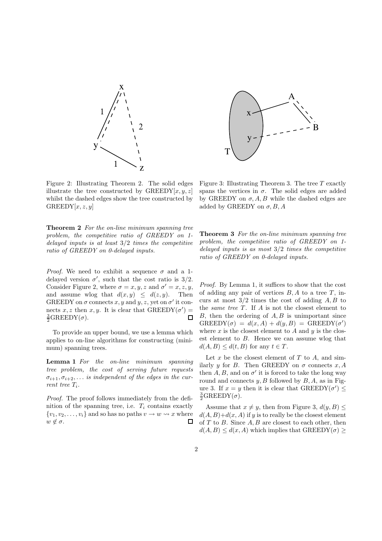

Figure 2: Illustrating Theorem 2. The solid edges illustrate the tree constructed by  $\text{GREEDY}[x, y, z]$ whilst the dashed edges show the tree constructed by  $GREDY[x, z, y]$ 

Theorem 2 For the on-line minimum spanning tree problem, the competitive ratio of GREEDY on 1 delayed inputs is at least 3/2 times the competitive ratio of GREEDY on 0-delayed inputs.

*Proof.* We need to exhibit a sequence  $\sigma$  and a 1delayed version  $\sigma'$ , such that the cost ratio is 3/2. Consider Figure 2, where  $\sigma = x, y, z$  and  $\sigma' = x, z, y, z$ and assume wlog that  $d(x, y) \leq d(z, y)$ . Then GREEDY on  $\sigma$  connects x, y and y, z, yet on  $\sigma'$  it connects x, z then x, y. It is clear that  $\text{GREEDY}(\sigma') =$  $\frac{3}{2}$ GREEDY( $\sigma$ ).  $\Box$ 

To provide an upper bound, we use a lemma which applies to on-line algorithms for constructing (minimum) spanning trees.

Lemma 1 For the on-line minimum spanning tree problem, the cost of serving future requests  $\sigma_{i+1}, \sigma_{i+2}, \ldots$  is independent of the edges in the current tree Ti.

Proof. The proof follows immediately from the definition of the spanning tree, i.e.  $T_i$  contains exactly  $\{v_1, v_2, \ldots, v_i\}$  and so has no paths  $v \to w \rightsquigarrow x$  where  $w \notin \sigma$ .



Figure 3: Illustrating Theorem 3. The tree  $T$  exactly spans the vertices in  $\sigma$ . The solid edges are added by GREEDY on  $\sigma$ , A, B while the dashed edges are added by GREEDY on  $\sigma$ , B, A

Theorem 3 For the on-line minimum spanning tree problem, the competitive ratio of GREEDY on 1 delayed inputs is as most  $3/2$  times the competitive ratio of GREEDY on 0-delayed inputs.

Proof. By Lemma 1, it suffices to show that the cost of adding any pair of vertices  $B, A$  to a tree  $T$ , incurs at most  $3/2$  times the cost of adding  $A, B$  to the *same tree T*. If  $A$  is not the closest element to  $B$ , then the ordering of  $A, B$  is unimportant since  $GREEDY(\sigma) = d(x, A) + d(y, B) = GREEDY(\sigma')$ where x is the closest element to A and y is the closest element to B. Hence we can assume wlog that  $d(A, B) \leq d(t, B)$  for any  $t \in T$ .

Let  $x$  be the closest element of  $T$  to  $A$ , and similarly y for B. Then GREEDY on  $\sigma$  connects x, A then  $A, B$ , and on  $\sigma'$  it is forced to take the long way round and connects  $y, B$  followed by  $B, A$ , as in Figure 3. If  $x = y$  then it is clear that  $\text{GREEDY}(\sigma') \leq$  $\frac{3}{2}$ GREEDY( $\sigma$ ).

Assume that  $x \neq y$ , then from Figure 3,  $d(y, B) \leq$  $d(A, B) + d(x, A)$  if y is to really be the closest element of  $T$  to  $B$ . Since  $A, B$  are closest to each other, then  $d(A, B) \leq d(x, A)$  which implies that  $\text{GREEDY}(\sigma)$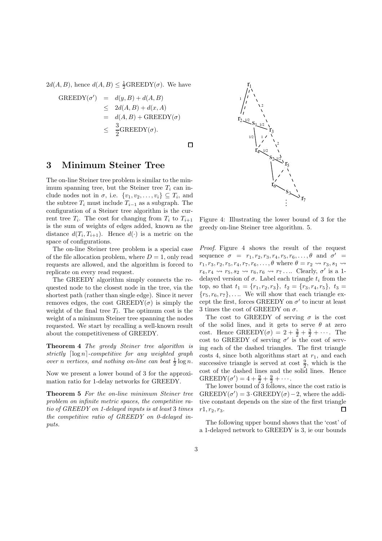$2d(A, B)$ , hence  $d(A, B) \leq \frac{1}{2}$ GREEDY( $\sigma$ ). We have

$$
GREEDY(\sigma') = d(y, B) + d(A, B)
$$
  
\n
$$
\leq 2d(A, B) + d(x, A)
$$
  
\n
$$
= d(A, B) + GREEDY(\sigma)
$$
  
\n
$$
\leq \frac{3}{2} GREEDY(\sigma).
$$

#### $\Box$

## 3 Minimum Steiner Tree

The on-line Steiner tree problem is similar to the minimum spanning tree, but the Steiner tree  $T_i$  can include nodes not in  $\sigma$ , i.e.  $\{v_1, v_2, \ldots, v_i\} \subseteq T_i$ , and the subtree  $T_i$  must include  $T_{i-1}$  as a subgraph. The configuration of a Steiner tree algorithm is the current tree  $T_i$ . The cost for changing from  $T_i$  to  $T_{i+1}$ is the sum of weights of edges added, known as the distance  $d(T_i, T_{i+1})$ . Hence  $d(\cdot)$  is a metric on the space of configurations.

The on-line Steiner tree problem is a special case of the file allocation problem, where  $D = 1$ , only read requests are allowed, and the algorithm is forced to replicate on every read request.

The GREEDY algorithm simply connects the requested node to the closest node in the tree, via the shortest path (rather than single edge). Since it never removes edges, the cost  $GREEDY(\sigma)$  is simply the weight of the final tree  $T_l$ . The optimum cost is the weight of a minimum Steiner tree spanning the nodes requested. We start by recalling a well-known result about the competitiveness of GREEDY.

Theorem 4 The greedy Steiner tree algorithm is strictly  $\lceil \log n \rceil$ -competitive for any weighted graph over n vertices, and nothing on-line can beat  $\frac{1}{2} \log n$ .

Now we present a lower bound of 3 for the approximation ratio for 1-delay networks for GREEDY.

Theorem 5 For the on-line minimum Steiner tree problem on infinite metric spaces, the competitive ratio of GREEDY on 1-delayed inputs is at least 3 times the competitive ratio of GREEDY on 0-delayed inputs.



Figure 4: Illustrating the lower bound of 3 for the greedy on-line Steiner tree algorithm. 5.

Proof. Figure 4 shows the result of the request sequence  $\sigma = r_1, r_2, r_3, r_4, r_5, r_6, \ldots, \theta$  and  $\sigma' =$  $r_1, r_3, r_2, r_5, r_4, r_7, r_6, \ldots, \theta$  where  $\theta = r_2 \rightsquigarrow r_3, s_1 \rightsquigarrow$  $r_4, r_4 \rightsquigarrow r_5, s_2 \rightsquigarrow r_6, r_6 \rightsquigarrow r_7 \dots$  Clearly,  $\sigma'$  is a 1delayed version of  $\sigma$ . Label each triangle  $t_i$  from the top, so that  $t_1 = \{r_1, r_2, r_3\}, t_2 = \{r_3, r_4, r_5\}, t_3 =$  ${r_5, r_6, r_7}, \ldots$  We will show that each triangle except the first, forces GREEDY on  $\sigma'$  to incur at least 3 times the cost of GREEDY on  $\sigma$ .

The cost to GREEDY of serving  $\sigma$  is the cost of the solid lines, and it gets to serve  $\theta$  at zero cost. Hence  $\text{GREEDY}(\sigma) = 2 + \frac{3}{2} + \frac{3}{2} + \cdots$ . The cost to GREEDY of serving  $\sigma'$  is the cost of serving each of the dashed triangles. The first triangle costs 4, since both algorithms start at  $r_1$ , and each successive triangle is served at cost  $\frac{9}{2}$ , which is the cost of the dashed lines and the solid lines. Hence  $GREEDY(\sigma') = 4 + \frac{9}{2} + \frac{9}{2} + \cdots$ 

The lower bound of 3 follows, since the cost ratio is  $GREEDY(\sigma') = 3 \cdot GREEDY(\sigma) - 2$ , where the additive constant depends on the size of the first triangle  $r1, r_2, r_3.$  $\Box$ 

The following upper bound shows that the 'cost' of a 1-delayed network to GREEDY is 3, ie our bounds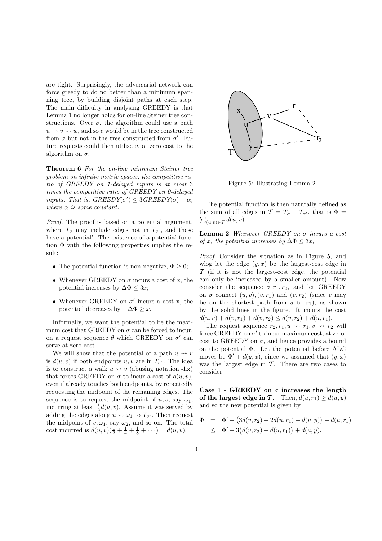are tight. Surprisingly, the adversarial network can force greedy to do no better than a minimum spanning tree, by building disjoint paths at each step. The main difficulty in analysing GREEDY is that Lemma 1 no longer holds for on-line Steiner tree constructions. Over  $\sigma$ , the algorithm could use a path  $u \rightarrow v \rightsquigarrow w$ , and so v would be in the tree constructed from  $\sigma$  but not in the tree constructed from  $\sigma'$ . Future requests could then utilise  $v$ , at zero cost to the algorithm on  $\sigma$ .

Theorem 6 For the on-line minimum Steiner tree problem on infinite metric spaces, the competitive ratio of GREEDY on 1-delayed inputs is at most 3 times the competitive ratio of GREEDY on 0-delayed inputs. That is,  $GREEDY(\sigma') \leq 3GREEDY(\sigma) - \alpha$ , where  $\alpha$  is some constant.

Proof. The proof is based on a potential argument, where  $T_{\sigma}$  may include edges not in  $T_{\sigma}$ , and these have a potential'. The existence of a potential function  $\Phi$  with the following properties implies the result:

- The potential function is non-negative,  $\Phi \geq 0$ ;
- Whenever GREEDY on  $\sigma$  incurs a cost of x, the potential increases by  $\Delta \Phi \leq 3x$ ;
- Whenever GREEDY on  $\sigma'$  incurs a cost x, the potential decreases by  $-\Delta\Phi \geq x$ .

Informally, we want the potential to be the maximum cost that GREEDY on  $\sigma$  can be forced to incur, on a request sequence  $\theta$  which GREEDY on  $\sigma'$  can serve at zero-cost.

We will show that the potential of a path  $u \leadsto v$ is  $d(u, v)$  if both endpoints  $u, v$  are in  $T_{\sigma'}$ . The idea is to construct a walk  $u \leftrightarrow v$  (abusing notation -fix) that forces GREEDY on  $\sigma$  to incur a cost of  $d(u, v)$ , even if already touches both endpoints, by repeatedly requesting the midpoint of the remaining edges. The sequence is to request the midpoint of  $u, v$ , say  $\omega_1$ , incurring at least  $\frac{1}{2}d(u, v)$ . Assume it was served by adding the edges along  $u \leftrightarrow \omega_1$  to  $T_{\sigma'}$ . Then request the midpoint of  $v, \omega_1$ , say  $\omega_2$ , and so on. The total cost incurred is  $d(u, v)(\frac{1}{2} + \frac{1}{4} + \frac{1}{8} + \cdots) = d(u, v)$ .



Figure 5: Illustrating Lemma 2.

The potential function is then naturally defined as the sum of all edges in  $\mathcal{T} = T_{\sigma} - T_{\sigma'}$ , that is  $\Phi =$  $\sum_{(u,v)\in\mathcal{T}} d(u,v).$ 

**Lemma 2** Whenever GREEDY on  $\sigma$  incurs a cost of x, the potential increases by  $\Delta \Phi \leq 3x$ ;

Proof. Consider the situation as in Figure 5, and wlog let the edge  $(y, x)$  be the largest-cost edge in  $\mathcal T$  (if it is not the largest-cost edge, the potential can only be increased by a smaller amount). Now consider the sequence  $\sigma$ ,  $r_1$ ,  $r_2$ , and let GREEDY on  $\sigma$  connect  $(u, v), (v, r_1)$  and  $(v, r_2)$  (since v may be on the shortest path from u to  $r_1$ ), as shown by the solid lines in the figure. It incurs the cost  $d(u, v) + d(v, r_1) + d(v, r_2) \leq d(v, r_2) + d(u, r_1).$ 

The request sequence  $r_2, r_1, u \rightsquigarrow r_1, v \rightsquigarrow r_2$  will force GREEDY on  $\sigma'$  to incur maximum cost, at zerocost to GREEDY on  $\sigma$ , and hence provides a bound on the potential Φ. Let the potential before ALG moves be  $\Phi' + d(y, x)$ , since we assumed that  $(y, x)$ was the largest edge in  $\mathcal T$ . There are two cases to consider:

Case 1 - GREEDY on  $\sigma$  increases the length of the largest edge in T. Then,  $d(u, r_1) \geq d(u, y)$ and so the new potential is given by

$$
\Phi = \Phi' + (3d(v, r_2) + 2d(u, r_1) + d(u, y)) + d(u, r_1) \leq \Phi' + 3(d(v, r_2) + d(u, r_1)) + d(u, y).
$$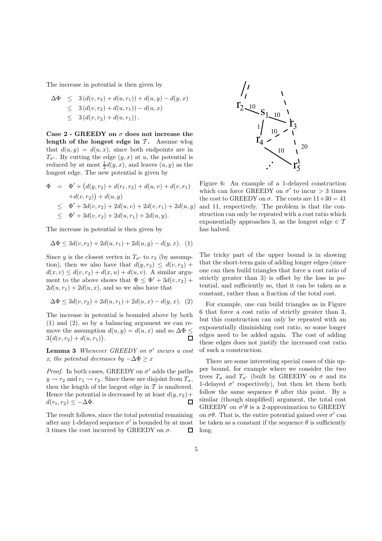The increase in potential is then given by

$$
\Delta \Phi \leq 3 (d(v, r_2) + d(u, r_1)) + d(u, y) - d(y, x)
$$
  
\n
$$
\leq 3 (d(v, r_2) + d(u, r_1)) - d(u, x)
$$
  
\n
$$
\leq 3 (d(v, r_2) + d(u, r_1)).
$$

Case  $2$  - GREEDY on  $\sigma$  does not increase the length of the longest edge in  $\mathcal{T}$ . Assume wlog that  $d(u, y) = d(u, x)$ , since both endpoints are in  $T_{\sigma'}$ . By cutting the edge  $(y, x)$  at u, the potential is reduced by at most  $\frac{1}{2}d(y,x)$ , and leaves  $(u, y)$  as the longest edge. The new potential is given by

$$
\Phi = \Phi' + (d(y, r_2) + d(r_1, r_2) + d(u, v) + d(v, r_1) \n+ d(v, r_2)) + d(u, y) \n\leq \Phi' + 3d(v, r_2) + 2d(u, v) + 2d(v, r_1) + 2d(u, y) \n\leq \Phi' + 3d(v, r_2) + 2d(u, r_1) + 2d(u, y).
$$

The increase in potential is then given by

$$
\Delta \Phi \le 3d(v, r_2) + 2d(u, r_1) + 2d(u, y) - d(y, x). \tag{1}
$$

Since y is the closest vertex in  $T_{\sigma'}$  to  $r_2$  (by assumption), then we also have that  $d(y, r_2) \leq d(v, r_2) +$  $d(x, v) \leq d(v, r_2) + d(x, u) + d(u, v)$ . A similar argument to the above shows that  $\Phi \leq \Phi' + 3d(v, r_2) +$  $2d(u, r_1) + 2d(u, x)$ , and so we also have that

$$
\Delta \Phi \le 3d(v, r_2) + 2d(u, r_1) + 2d(u, x) - d(y, x). \tag{2}
$$

The increase in potential is bounded above by both (1) and (2), so by a balancing argument we can remove the assumption  $d(u, y) = d(u, x)$  and so  $\Delta \Phi \le$ <br>3 $(d(v, r_2) + d(u, r_1))$ .  $3(d(v, r_2) + d(u, r_1)).$ 

**Lemma 3** Whenever GREEDY on  $\sigma'$  incurs a cost x, the potential decreases by  $-\Delta\Phi \geq x$ 

*Proof.* In both cases, GREEDY on  $\sigma'$  adds the paths  $y \rightsquigarrow r_2$  and  $r_1 \rightsquigarrow r_2$ . Since these are disjoint from  $T_{\sigma}$ , then the length of the largest edge in  $\mathcal T$  is unaltered. Hence the potential is decreased by at least  $d(y, r_2)$  +  $d(r_1, r_2) \leq -\Delta \Phi$ . 口

The result follows, since the total potential remaining after any 1-delayed sequence  $\sigma'$  is bounded by at most 3 times the cost incurred by GREEDY on  $\sigma$ .  $\Box$ 



Figure 6: An example of a 1-delayed construction which can force GREEDY on  $\sigma'$  to incur  $> 3$  times the cost to GREEDY on  $\sigma$ . The costs are  $11+30 = 41$ and 11, respectively. The problem is that the construction can only be repeated with a cost ratio which exponentially approaches 3, as the longest edge  $\in \mathcal{T}$ has halved.

The tricky part of the upper bound is in showing that the short-term gain of adding longer edges (since one can then build triangles that force a cost ratio of strictly greater than 3) is offset by the loss in potential, and sufficiently so, that it can be taken as a constant, rather than a fraction of the total cost.

For example, one can build triangles as in Figure 6 that force a cost ratio of strictly greater than 3, but this construction can only be repeated with an exponentially diminishing cost ratio, so some longer edges need to be added again. The cost of adding these edges does not justify the increased cost ratio of such a construction.

There are some interesting special cases of this upper bound, for example where we consider the two trees  $T_{\sigma}$  and  $T_{\sigma}$  (built by GREEDY on  $\sigma$  and its 1-delayed  $\sigma'$  respectively), but then let them both follow the same sequence  $\theta$  after this point. By a similar (though simplified) argument, the total cost GREEDY on  $\sigma' \theta$  is a 2-approximation to GREEDY on  $\sigma\theta$ . That is, the entire potential gained over  $\sigma'$  can be taken as a constant if the sequence  $\theta$  is sufficiently long.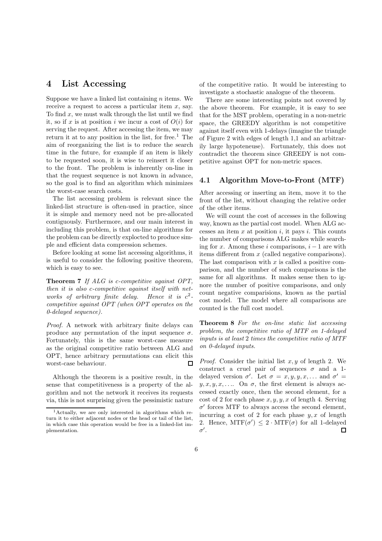## 4 List Accessing

Suppose we have a linked list containing  $n$  items. We receive a request to access a particular item  $x$ , say. To find  $x$ , we must walk through the list until we find it, so if x is at position i we incur a cost of  $O(i)$  for serving the request. After accessing the item, we may return it at to any position in the list, for free.<sup>1</sup> The aim of reorganizing the list is to reduce the search time in the future, for example if an item is likely to be requested soon, it is wise to reinsert it closer to the front. The problem is inherently on-line in that the request sequence is not known in advance, so the goal is to find an algorithm which minimizes the worst-case search costs.

The list accessing problem is relevant since the linked-list structure is often-used in practice, since it is simple and memory need not be pre-allocated contiguously. Furthermore, and our main interest in including this problem, is that on-line algorithms for the problem can be directly explocted to produce simple and efficient data compression schemes.

Before looking at some list accessing algorithms, it is useful to consider the following positive theorem, which is easy to see.

Theorem 7 If ALG is c-competitive against OPT. then it is also c-competitive against itself with networks of arbitrary finite delay.  $\frac{2}{1}$ competitive against OPT (when OPT operates on the 0-delayed sequence).

Proof. A network with arbitrary finite delays can produce any permutation of the input sequence  $\sigma$ . Fortunately, this is the same worst-case measure as the original competitive ratio between ALG and OPT, hence arbitrary permutations can elicit this worst-case behaviour. П

Although the theorem is a positive result, in the sense that competitiveness is a property of the algorithm and not the network it receives its requests via, this is not surprising given the pessimistic nature of the competitive ratio. It would be interesting to investigate a stochastic analogue of the theorem.

There are some interesting points not covered by the above theorem. For example, it is easy to see that for the MST problem, operating in a non-metric space, the GREEDY algorithm is not competitive against itself even with 1-delays (imagine the triangle of Figure 2 with edges of length 1,1 and an arbitrarily large hypoteneuse). Fortunately, this does not contradict the theorem since GREEDY is not competitive against OPT for non-metric spaces.

#### 4.1 Algorithm Move-to-Front (MTF)

After accessing or inserting an item, move it to the front of the list, without changing the relative order of the other items.

We will count the cost of accesses in the following way, known as the partial cost model. When ALG accesses an item  $x$  at position  $i$ , it pays  $i$ . This counts the number of comparisons ALG makes while searching for x. Among these i comparisons,  $i - 1$  are with items different from x (called negative comparisons). The last comparison with  $x$  is called a positive comparison, and the number of such comparisons is the same for all algorithms. It makes sense then to ignore the number of positive comparisons, and only count negative comparisions, known as the partial cost model. The model where all comparisons are counted is the full cost model.

Theorem 8 For the on-line static list accessing problem, the competitive ratio of MTF on 1-delayed inputs is at least 2 times the competitive ratio of MTF on 0-delayed inputs.

*Proof.* Consider the initial list  $x, y$  of length 2. We construct a cruel pair of sequences  $\sigma$  and a 1delayed version  $\sigma'$ . Let  $\sigma = x, y, y, x, \ldots$  and  $\sigma' =$  $y, x, y, x, \ldots$  On  $\sigma$ , the first element is always accessed exactly once, then the second element, for a cost of 2 for each phase  $x, y, y, x$  of length 4. Serving  $\sigma'$  forces MTF to always access the second element, incurring a cost of 2 for each phase  $y, x$  of length 2. Hence,  $\text{MTF}(\sigma') \leq 2 \cdot \text{MTF}(\sigma)$  for all 1-delayed  $\sigma'$ .

<sup>1</sup>Actually, we are only interested in algorithms which return it to either adjacent nodes or the head or tail of the list, in which case this operation would be free in a linked-list implementation.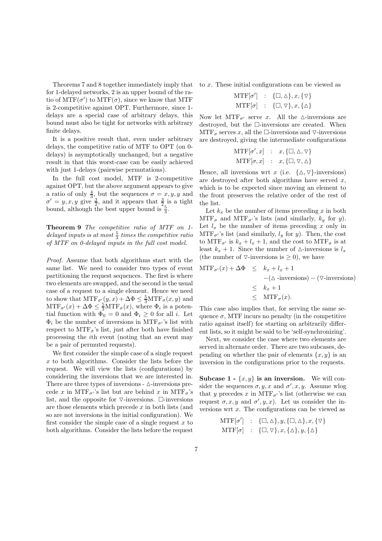Theorems 7 and 8 together immediately imply that for 1-delayed networks, 2 is an upper bound of the ratio of  $\mathrm{MTF}(\sigma')$  to  $\mathrm{MTF}(\sigma)$ , since we know that MTF is 2-competitive against OPT. Furthermore, since 1 delays are a special case of arbitrary delays, this bound must also be tight for networks with arbitrary finite delays.

It is a positive result that, even under arbitrary delays, the competitive ratio of MTF to OPT (on 0 delays) is asymptotically unchanged, but a negative result in that this worst-case can be easily achieved with just 1-delays (pairwise permutations).

In the full cost model, MTF is 2-competitive against OPT, but the above argument appears to give a ratio of only  $\frac{4}{3}$ , but the sequences  $\sigma = x, y, y$  and  $\sigma' = y, x, y$  give  $\frac{3}{2}$ , and it appears that  $\frac{3}{2}$  is a tight bound, although the best upper bound is  $\frac{5}{3}$ .

Theorem 9 The competitive ratio of MTF on 1 delayed inputs is at most  $\frac{5}{3}$  times the competitive ratio of MTF on 0-delayed inputs in the full cost model.

Proof. Assume that both algorithms start with the same list. We need to consider two types of event partitioning the request sequences. The first is where two elements are swapped, and the second is the usual case of a request to a single element. Hence we need to show that  $\text{MTF}_{\sigma}(\mathbf{y}, x) + \Delta \Phi \leq \frac{5}{3} \text{MTF}_{\sigma}(\mathbf{x}, \mathbf{y})$  and  $\text{MTF}_{\sigma}(x) + \Delta \Phi \leq \frac{5}{3} \text{MTF}_{\sigma}(x)$ , where  $\Phi_i$  is a potential function with  $\Phi_0 = 0$  and  $\Phi_i \geq 0$  for all i. Let  $\Phi_i$  be the number of inversions in MTF<sub> $\sigma'$ </sub>'s list with respect to  $\text{MTF}_{\sigma}$ 's list, just after both have finished processing the ith event (noting that an event may be a pair of permuted requests).

We first consider the simple case of a single request  $x$  to both algorithms. Consider the lists before the request. We will view the lists (configurations) by considering the inversions that we are interested in. There are three types of inversions -  $\triangle$ -inversions precede x in MTF<sub> $\sigma$ </sub>'s list but are behind x in MTF<sub> $\sigma$ </sub>'s list, and the opposite for  $\nabla$ -inversions.  $\square$ -inversions are those elements which precede  $x$  in both lists (and so are not inversions in the initial configuration). We first consider the simple case of a single request  $x$  to both algorithms. Consider the lists before the request

to x. These initial configurations can be viewed as

$$
\text{MTF}[\sigma'] \quad : \quad {\square, \triangle}, x, {\triangledown} \text{MTF}[\sigma] \quad : \quad {\square, \triangledown}, x, {\triangle} \}
$$

Now let  $\text{MTF}_{\sigma}$  serve x. All the  $\Delta$ -inversions are destroyed, but the  $\square$ -inversions are created. When  $\text{MTF}_{\sigma}$  serves x, all the  $\Box$ -inversions and  $\nabla$ -inversions are destroyed, giving the intermediate configurations

$$
\text{MTF}[\sigma', x] : x, \{\Box, \Delta, \nabla\}
$$

$$
\text{MTF}[\sigma, x] : x, \{\Box, \nabla, \Delta\}
$$

Hence, all inversions wrt x (i.e.  $\{\Delta, \nabla\}$ -inversions) are destroyed after both algorithms have served  $x$ , which is to be expected since moving an element to the front preserves the relative order of the rest of the list.

Let  $k_x$  be the number of items preceding x in both  $\text{MTF}_{\sigma}$  and  $\text{MTF}_{\sigma'}$ 's lists (and similarly,  $k_y$  for y). Let  $l_x$  be the number of items preceding x only in  $\text{MTF}_{\sigma}$ 's list (and similarly,  $l_y$  for y). Then, the cost to  $\text{MTF}_{\sigma'}$  is  $k_x + l_x + 1$ , and the cost to  $\text{MTF}_{\sigma}$  is at least  $k_x + 1$ . Since the number of  $\triangle$ -inversions is  $l_x$ (the number of  $\nabla$ -inversions is  $\geq$  0), we have

$$
MTF_{\sigma'}(x) + \Delta \Phi \le k_x + l_x + 1
$$
  
-( $\Delta$ -inversions) - ( $\nabla$ -inversions)  
 $\le k_x + 1$   
 $\le MTF_{\sigma}(x).$ 

This case also implies that, for serving the same sequence  $\sigma$ , MTF incurs no penalty (in the competitive ratio against itself) for starting on arbitrarily different lists, so it might be said to be 'self-synchronizing'.

Next, we consider the case where two elements are served in alternate order. There are two subcases, depending on whether the pair of elements  $\{x, y\}$  is an inversion in the configurations prior to the requests.

Subcase 1 -  $\{x, y\}$  is an inversion. We will consider the sequences  $\sigma, y, x$  and  $\sigma', x, y$ . Assume wlog that y precedes x in  $\text{MTF}_{\sigma}$ 's list (otherwise we can request  $\sigma, x, y$  and  $\sigma', y, x$ . Let us consider the inversions wrt x. The configurations can be viewed as

$$
\text{MTF}[\sigma'] \quad : \quad \{\Box, \Delta\}, y, \{\Box, \Delta\}, x, \{\triangledown\} \text{MTF}[\sigma] \quad : \quad \{\Box, \triangledown\}, x, \{\Delta\}, y, \{\Delta\}
$$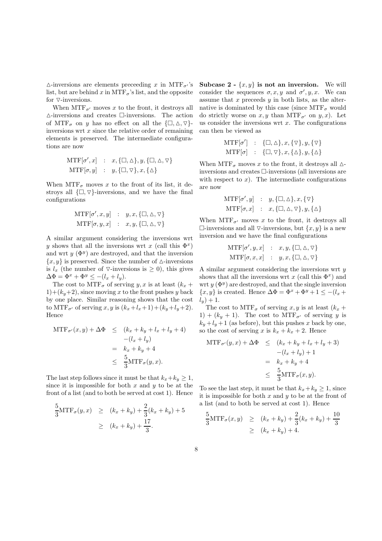$\triangle$ -inversions are elements preceeding x in MTF<sub> $\sigma$ </sub>'s list, but are behind x in MTF<sub> $\sigma$ </sub>'s list, and the opposite for  $\nabla$ -inversions.

When  $\text{MTF}_{\sigma'}$  moves x to the front, it destroys all  $\Delta$ -inversions and creates  $\Box$  inversions. The action of  $\text{MTF}_{\sigma}$  on y has no effect on all the  $\{\Box, \triangle, \triangledown\}$ inversions wrt  $x$  since the relative order of remaining elements is preserved. The intermediate configurations are now

$$
MTF[\sigma', x] : x, {\Box, \Delta}, y, {\Box, \Delta}, \nabla}
$$
  

$$
MTF[\sigma, y] : y, {\Box, \nabla}, x, {\Diamond}
$$

When  $\text{MTF}_{\sigma}$  moves x to the front of its list, it destroys all  $\{\Box, \nabla\}$ -inversions, and we have the final configurations

$$
MTF[\sigma', x, y] : y, x, {\Box, \Delta, \nabla}
$$
  

$$
MTF[\sigma, y, x] : x, y, {\Box, \Delta, \nabla}
$$

A similar argument considering the inversions wrt y shows that all the inversions wrt x (call this  $\Phi^x$ ) and wrt  $y(\Phi^y)$  are destroyed, and that the inversion  ${x, y}$  is preserved. Since the number of  $\Delta$ -inversions is  $l_x$  (the number of  $\nabla$ -inversions is  $\geq$  0), this gives  $\Delta \Phi = \Phi^x + \Phi^y \leq -(l_x + l_y).$ 

The cost to  $\text{MTF}_{\sigma}$  of serving y, x is at least  $(k_x +$  $1)+(k_y+2)$ , since moving x to the front pushes y back by one place. Similar reasoning shows that the cost to MTF<sub> $\sigma'$ </sub> of serving x, y is  $(k_x+l_x+1)+(k_y+l_y+2)$ . Hence

$$
MTF_{\sigma'}(x, y) + \Delta \Phi \le (k_x + k_y + l_x + l_y + 4)
$$
  

$$
-(l_x + l_y)
$$
  

$$
= k_x + k_y + 4
$$
  

$$
\le \frac{5}{3}MTF_{\sigma}(y, x).
$$

The last step follows since it must be that  $k_x+k_y \geq 1$ , since it is impossible for both  $x$  and  $y$  to be at the front of a list (and to both be served at cost 1). Hence

$$
\frac{5}{3} \text{MTF}_{\sigma}(y, x) \ge (k_x + k_y) + \frac{2}{3}(k_x + k_y) + 5
$$
  
 
$$
\ge (k_x + k_y) + \frac{17}{3}.
$$

Subcase 2 -  $\{x, y\}$  is not an inversion. We will consider the sequences  $\sigma, x, y$  and  $\sigma', y, x$ . We can assume that  $x$  preceeds  $y$  in both lists, as the alternative is dominated by this case (since  $\text{MTF}_{\sigma}$  would do strictly worse on  $x, y$  than  $\text{MTF}_{\sigma'}$  on  $y, x$ ). Let us consider the inversions wrt  $x$ . The configurations can then be viewed as

$$
\begin{array}{ccc} \text{MTF}[\sigma'] & : & \{\Box,\Diamond\},x,\{\triangledown\},y,\{\triangledown\} \\ \text{MTF}[\sigma] & : & \{\Box,\triangledown\},x,\{\triangle\},y,\{\triangle\} \end{array}
$$

When MTF<sub> $\sigma$ </sub> moves x to the front, it destroys all  $\Delta$ inversions and creates  $\Box$ -inversions (all inversions are with respect to  $x$ ). The intermediate configurations are now

$$
\begin{array}{rcl} \text{MTF}[\sigma', y] & : & y, \{\Box, \triangle\}, x, \{\triangledown\} \\ \text{MTF}[\sigma, x] & : & x, \{\Box, \triangle, \triangledown\}, y, \{\triangle\} \end{array}
$$

When  $\text{MTF}_{\sigma}$  moves x to the front, it destroys all  $\Box$ -inversions and all  $\nabla$ -inversions, but  $\{x, y\}$  is a new inversion and we have the final configurations

$$
MTF[\sigma', y, x] : x, y, {\Box, \Delta, \nabla}
$$
  
 
$$
MTF[\sigma, x, x] : y, x, {\Box, \Delta, \nabla}
$$

A similar argument considering the inversions wrt y shows that all the inversions wrt  $x$  (call this  $\Phi^x$ ) and wrt  $y(\Phi^y)$  are destroyed, and that the single inversion  $\{x, y\}$  is created. Hence  $\Delta \Phi = \Phi^x + \Phi^y + 1 \leq -(l_x + \Phi^y)$  $l_y$ ) + 1.

The cost to  $\text{MTF}_{\sigma}$  of serving x, y is at least  $(k_x +$  $1) + (k_y + 1)$ . The cost to MTF<sub> $\sigma'$ </sub> of serving y is  $k_y + l_y + 1$  (as before), but this pushes x back by one, so the cost of serving x is  $k_x + k_x + 2$ . Hence

$$
MTF_{\sigma'}(y, x) + \Delta \Phi \le (k_x + k_y + l_x + l_y + 3)
$$
  

$$
-(l_x + l_y) + 1
$$
  

$$
= k_x + k_y + 4
$$
  

$$
\le \frac{5}{3}MTF_{\sigma}(x, y).
$$

To see the last step, it must be that  $k_x+k_y \geq 1$ , since it is impossible for both  $x$  and  $y$  to be at the front of a list (and to both be served at cost 1). Hence

$$
\frac{5}{3} \text{MTF}_{\sigma}(x, y) \ge (k_x + k_y) + \frac{2}{3}(k_x + k_y) + \frac{10}{3}
$$
  
 
$$
\ge (k_x + k_y) + 4.
$$